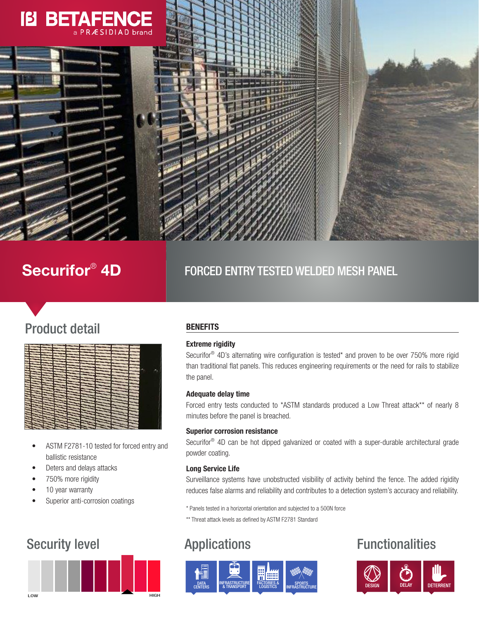# [[3 BETAER a PRÆSIDIAD brand





# **FORCED ENTRY TESTED WELDED MESH PANEL**

# Product detail



- ASTM F2781-10 tested for forced entry and ballistic resistance
- Deters and delays attacks
- 750% more rigidity
- 10 year warranty
- Superior anti-corrosion coatings



# **BENEFITS**

# Extreme rigidity

Securifor® 4D's alternating wire configuration is tested\* and proven to be over 750% more rigid than traditional flat panels. This reduces engineering requirements or the need for rails to stabilize the panel.

# Adequate delay time

Forced entry tests conducted to \*ASTM standards produced a Low Threat attack\*\* of nearly 8 minutes before the panel is breached.

### Superior corrosion resistance

Securifor<sup>®</sup> 4D can be hot dipped galvanized or coated with a super-durable architectural grade powder coating.

# Long Service Life

Surveillance systems have unobstructed visibility of activity behind the fence. The added rigidity reduces false alarms and reliability and contributes to a detection system's accuracy and reliability.

\* Panels tested in a horizontal orientation and subjected to a 500N force

\*\* Threat attack levels as defined by ASTM F2781 Standard



# Security level **Applications Applications Functionalities**